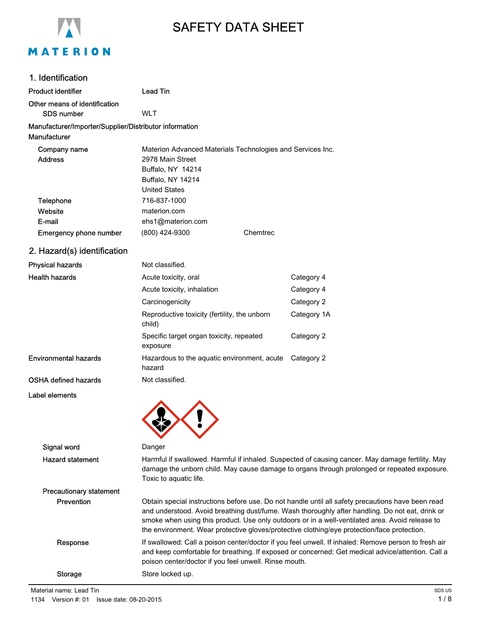

## SAFETY DATA SHEET

### 1. Identification

### Product identifier **Lead Tin**

Other means of identification

SDS number WLT

### Manufacturer/Importer/Supplier/Distributor information

Manufacturer

| Company name           |                      | Materion Advanced Materials Technologies and Services Inc. |
|------------------------|----------------------|------------------------------------------------------------|
| <b>Address</b>         | 2978 Main Street     |                                                            |
|                        | Buffalo, NY 14214    |                                                            |
|                        | Buffalo, NY 14214    |                                                            |
|                        | <b>United States</b> |                                                            |
| Telephone              | 716-837-1000         |                                                            |
| Website                | materion.com         |                                                            |
| E-mail                 | ehs1@materion.com    |                                                            |
| Emergency phone number | (800) 424-9300       | Chemtrec                                                   |

### 2. Hazard(s) identification

| <b>Physical hazards</b>      | Not classified.                                        |             |
|------------------------------|--------------------------------------------------------|-------------|
| <b>Health hazards</b>        | Acute toxicity, oral                                   | Category 4  |
|                              | Acute toxicity, inhalation                             | Category 4  |
|                              | Carcinogenicity                                        | Category 2  |
|                              | Reproductive toxicity (fertility, the unborn<br>child) | Category 1A |
|                              | Specific target organ toxicity, repeated<br>exposure   | Category 2  |
| <b>Environmental hazards</b> | Hazardous to the aquatic environment, acute<br>hazard  | Category 2  |
| OSHA defined hazards         | Not classified.                                        |             |
| Label elements               |                                                        |             |

| Signal word                    | Danger                                                                                                                                                                                                                                                                                                                                                                                                 |
|--------------------------------|--------------------------------------------------------------------------------------------------------------------------------------------------------------------------------------------------------------------------------------------------------------------------------------------------------------------------------------------------------------------------------------------------------|
| <b>Hazard statement</b>        | Harmful if swallowed. Harmful if inhaled. Suspected of causing cancer. May damage fertility. May<br>damage the unborn child. May cause damage to organs through prolonged or repeated exposure.<br>Toxic to aquatic life.                                                                                                                                                                              |
| <b>Precautionary statement</b> |                                                                                                                                                                                                                                                                                                                                                                                                        |
| <b>Prevention</b>              | Obtain special instructions before use. Do not handle until all safety precautions have been read<br>and understood. Avoid breathing dust/fume. Wash thoroughly after handling. Do not eat, drink or<br>smoke when using this product. Use only outdoors or in a well-ventilated area. Avoid release to<br>the environment. Wear protective gloves/protective clothing/eye protection/face protection. |
| Response                       | If swallowed: Call a poison center/doctor if you feel unwell. If inhaled: Remove person to fresh air<br>and keep comfortable for breathing. If exposed or concerned: Get medical advice/attention. Call a<br>poison center/doctor if you feel unwell. Rinse mouth.                                                                                                                                     |
| Storage                        | Store locked up.                                                                                                                                                                                                                                                                                                                                                                                       |
|                                |                                                                                                                                                                                                                                                                                                                                                                                                        |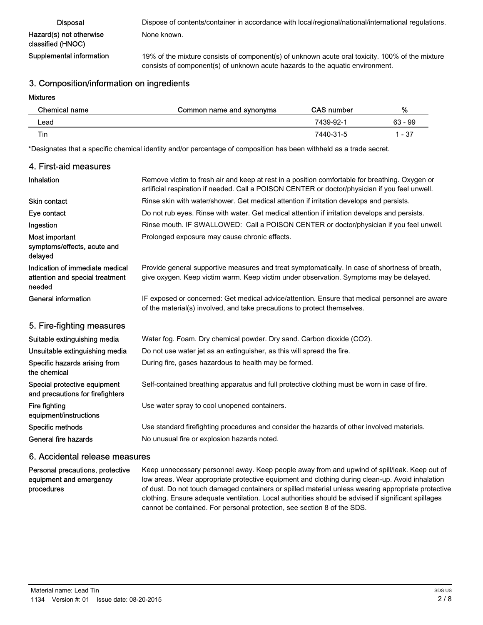| <b>Disposal</b>                              | Dispose of contents/container in accordance with local/regional/national/international regulations.                                                                              |
|----------------------------------------------|----------------------------------------------------------------------------------------------------------------------------------------------------------------------------------|
| Hazard(s) not otherwise<br>classified (HNOC) | None known.                                                                                                                                                                      |
| Supplemental information                     | 19% of the mixture consists of component(s) of unknown acute oral toxicity. 100% of the mixture<br>consists of component(s) of unknown acute hazards to the aquatic environment. |

### 3. Composition/information on ingredients

#### Mixtures

| Chemical name | Common name and synonyms | <b>CAS number</b> | %         |
|---------------|--------------------------|-------------------|-----------|
| Lead          |                          | 7439-92-1         | $63 - 99$ |
| Tin           |                          | 7440-31-5         | 1 - 37    |

\*Designates that a specific chemical identity and/or percentage of composition has been withheld as a trade secret.

### 4. First-aid measures

| <b>Inhalation</b>                                                            | Remove victim to fresh air and keep at rest in a position comfortable for breathing. Oxygen or<br>artificial respiration if needed. Call a POISON CENTER or doctor/physician if you feel unwell. |  |
|------------------------------------------------------------------------------|--------------------------------------------------------------------------------------------------------------------------------------------------------------------------------------------------|--|
| <b>Skin contact</b>                                                          | Rinse skin with water/shower. Get medical attention if irritation develops and persists.                                                                                                         |  |
| Eye contact                                                                  | Do not rub eyes. Rinse with water. Get medical attention if irritation develops and persists.                                                                                                    |  |
| Ingestion                                                                    | Rinse mouth. IF SWALLOWED: Call a POISON CENTER or doctor/physician if you feel unwell.                                                                                                          |  |
| Most important<br>symptoms/effects, acute and<br>delayed                     | Prolonged exposure may cause chronic effects.                                                                                                                                                    |  |
| Indication of immediate medical<br>attention and special treatment<br>needed | Provide general supportive measures and treat symptomatically. In case of shortness of breath,<br>give oxygen. Keep victim warm. Keep victim under observation. Symptoms may be delayed.         |  |
| General information                                                          | IF exposed or concerned: Get medical advice/attention. Ensure that medical personnel are aware<br>of the material(s) involved, and take precautions to protect themselves.                       |  |
| 5. Fire-fighting measures                                                    |                                                                                                                                                                                                  |  |
| Suitable extinguishing media                                                 | Water fog. Foam. Dry chemical powder. Dry sand. Carbon dioxide (CO2).                                                                                                                            |  |
| Unsuitable extinguishing media                                               | Do not use water jet as an extinguisher, as this will spread the fire.                                                                                                                           |  |
| Specific hazards arising from<br>the chemical                                | During fire, gases hazardous to health may be formed.                                                                                                                                            |  |
| Special protective equipment<br>and precautions for firefighters             | Self-contained breathing apparatus and full protective clothing must be worn in case of fire.                                                                                                    |  |
| Fire fighting                                                                | Use water spray to cool unopened containers.                                                                                                                                                     |  |

equipment/instructions

## Specific methods Use standard firefighting procedures and consider the hazards of other involved materials. General fire hazards No unusual fire or explosion hazards noted.

### 6. Accidental release measures

Keep unnecessary personnel away. Keep people away from and upwind of spill/leak. Keep out of low areas. Wear appropriate protective equipment and clothing during clean-up. Avoid inhalation of dust. Do not touch damaged containers or spilled material unless wearing appropriate protective clothing. Ensure adequate ventilation. Local authorities should be advised if significant spillages cannot be contained. For personal protection, see section 8 of the SDS. Personal precautions, protective equipment and emergency procedures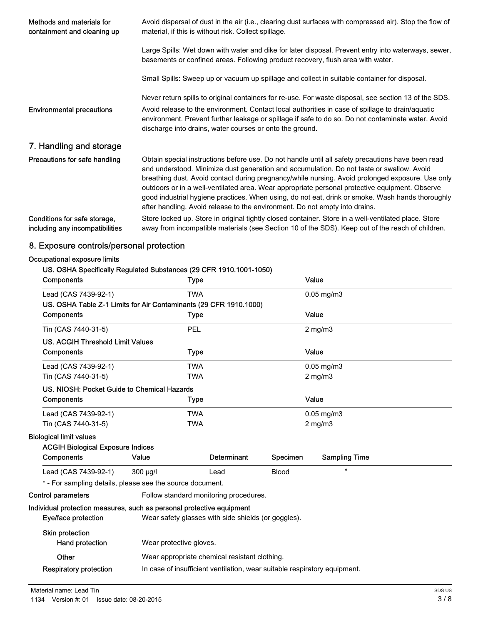| Methods and materials for<br>containment and cleaning up        | Avoid dispersal of dust in the air (i.e., clearing dust surfaces with compressed air). Stop the flow of<br>material, if this is without risk. Collect spillage.                                                                                                                                                                                                                                                                                                                                                                                                                         |
|-----------------------------------------------------------------|-----------------------------------------------------------------------------------------------------------------------------------------------------------------------------------------------------------------------------------------------------------------------------------------------------------------------------------------------------------------------------------------------------------------------------------------------------------------------------------------------------------------------------------------------------------------------------------------|
|                                                                 | Large Spills: Wet down with water and dike for later disposal. Prevent entry into waterways, sewer,<br>basements or confined areas. Following product recovery, flush area with water.                                                                                                                                                                                                                                                                                                                                                                                                  |
|                                                                 | Small Spills: Sweep up or vacuum up spillage and collect in suitable container for disposal.                                                                                                                                                                                                                                                                                                                                                                                                                                                                                            |
|                                                                 | Never return spills to original containers for re-use. For waste disposal, see section 13 of the SDS.                                                                                                                                                                                                                                                                                                                                                                                                                                                                                   |
| <b>Environmental precautions</b>                                | Avoid release to the environment. Contact local authorities in case of spillage to drain/aquatic<br>environment. Prevent further leakage or spillage if safe to do so. Do not contaminate water. Avoid<br>discharge into drains, water courses or onto the ground.                                                                                                                                                                                                                                                                                                                      |
| 7. Handling and storage                                         |                                                                                                                                                                                                                                                                                                                                                                                                                                                                                                                                                                                         |
| Precautions for safe handling                                   | Obtain special instructions before use. Do not handle until all safety precautions have been read<br>and understood. Minimize dust generation and accumulation. Do not taste or swallow. Avoid<br>breathing dust. Avoid contact during pregnancy/while nursing. Avoid prolonged exposure. Use only<br>outdoors or in a well-ventilated area. Wear appropriate personal protective equipment. Observe<br>good industrial hygiene practices. When using, do not eat, drink or smoke. Wash hands thoroughly<br>after handling. Avoid release to the environment. Do not empty into drains. |
| Conditions for safe storage,<br>including any incompatibilities | Store locked up. Store in original tightly closed container. Store in a well-ventilated place. Store<br>away from incompatible materials (see Section 10 of the SDS). Keep out of the reach of children.                                                                                                                                                                                                                                                                                                                                                                                |

## 8. Exposure controls/personal protection

### Occupational exposure limits

### US. OSHA Specifically Regulated Substances (29 CFR 1910.1001-1050)

| Components                                                            | Type                                                                      |                    |              | Value                |  |
|-----------------------------------------------------------------------|---------------------------------------------------------------------------|--------------------|--------------|----------------------|--|
| Lead (CAS 7439-92-1)                                                  | <b>TWA</b>                                                                |                    |              | $0.05$ mg/m $3$      |  |
| US. OSHA Table Z-1 Limits for Air Contaminants (29 CFR 1910.1000)     |                                                                           |                    |              |                      |  |
| Components                                                            | <b>Type</b>                                                               |                    |              | Value                |  |
| Tin (CAS 7440-31-5)                                                   | PEL                                                                       |                    |              | $2$ mg/m $3$         |  |
| <b>US. ACGIH Threshold Limit Values</b>                               |                                                                           |                    |              |                      |  |
| Components                                                            | <b>Type</b>                                                               |                    |              | Value                |  |
| Lead (CAS 7439-92-1)                                                  | <b>TWA</b>                                                                |                    |              | $0.05$ mg/m $3$      |  |
| Tin (CAS 7440-31-5)                                                   | <b>TWA</b>                                                                |                    |              | $2$ mg/m $3$         |  |
| US. NIOSH: Pocket Guide to Chemical Hazards                           |                                                                           |                    |              |                      |  |
| Components                                                            | <b>Type</b>                                                               |                    |              | Value                |  |
| Lead (CAS 7439-92-1)                                                  | <b>TWA</b>                                                                |                    |              | $0.05$ mg/m $3$      |  |
| Tin (CAS 7440-31-5)                                                   | <b>TWA</b>                                                                |                    |              | $2 \text{ mg/m}$     |  |
| <b>Biological limit values</b>                                        |                                                                           |                    |              |                      |  |
| <b>ACGIH Biological Exposure Indices</b>                              |                                                                           |                    |              |                      |  |
| Components                                                            | Value                                                                     | <b>Determinant</b> | Specimen     | <b>Sampling Time</b> |  |
| Lead (CAS 7439-92-1)                                                  | 300 µg/l                                                                  | Lead               | <b>Blood</b> | $\star$              |  |
| * - For sampling details, please see the source document.             |                                                                           |                    |              |                      |  |
| <b>Control parameters</b>                                             | Follow standard monitoring procedures.                                    |                    |              |                      |  |
| Individual protection measures, such as personal protective equipment |                                                                           |                    |              |                      |  |
| Eye/face protection                                                   | Wear safety glasses with side shields (or goggles).                       |                    |              |                      |  |
| Skin protection                                                       |                                                                           |                    |              |                      |  |
| Hand protection                                                       | Wear protective gloves.                                                   |                    |              |                      |  |
| Other                                                                 | Wear appropriate chemical resistant clothing.                             |                    |              |                      |  |
| <b>Respiratory protection</b>                                         | In case of insufficient ventilation, wear suitable respiratory equipment. |                    |              |                      |  |
|                                                                       |                                                                           |                    |              |                      |  |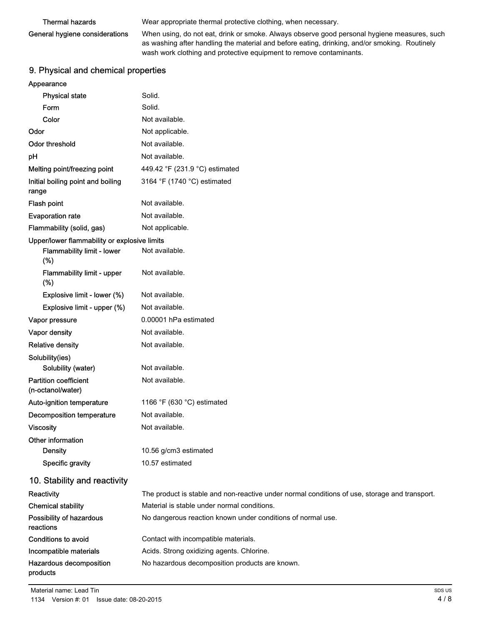# General hygiene considerations

Thermal hazards **Wear appropriate thermal protective clothing**, when necessary.

When using, do not eat, drink or smoke. Always observe good personal hygiene measures, such as washing after handling the material and before eating, drinking, and/or smoking. Routinely wash work clothing and protective equipment to remove contaminants.

### 9. Physical and chemical properties

### Appearance

| <b>Physical state</b>                             | Solid.                                                                                        |
|---------------------------------------------------|-----------------------------------------------------------------------------------------------|
| Form                                              | Solid.                                                                                        |
| Color                                             | Not available.                                                                                |
| Odor                                              | Not applicable.                                                                               |
| Odor threshold                                    | Not available.                                                                                |
| pH                                                | Not available.                                                                                |
| Melting point/freezing point                      | 449.42 °F (231.9 °C) estimated                                                                |
| Initial boiling point and boiling<br>range        | 3164 °F (1740 °C) estimated                                                                   |
| Flash point                                       | Not available.                                                                                |
| <b>Evaporation rate</b>                           | Not available.                                                                                |
| Flammability (solid, gas)                         | Not applicable.                                                                               |
| Upper/lower flammability or explosive limits      |                                                                                               |
| <b>Flammability limit - lower</b><br>(%)          | Not available.                                                                                |
| Flammability limit - upper<br>(%)                 | Not available.                                                                                |
| Explosive limit - lower (%)                       | Not available.                                                                                |
| Explosive limit - upper (%)                       | Not available.                                                                                |
| Vapor pressure                                    | 0.00001 hPa estimated                                                                         |
| Vapor density                                     | Not available.                                                                                |
| <b>Relative density</b>                           | Not available.                                                                                |
| Solubility(ies)                                   |                                                                                               |
| Solubility (water)                                | Not available.                                                                                |
| <b>Partition coefficient</b><br>(n-octanol/water) | Not available.                                                                                |
| Auto-ignition temperature                         | 1166 °F (630 °C) estimated                                                                    |
| Decomposition temperature                         | Not available.                                                                                |
| <b>Viscosity</b>                                  | Not available.                                                                                |
| Other information                                 |                                                                                               |
| <b>Density</b>                                    | 10.56 g/cm3 estimated                                                                         |
| Specific gravity                                  | 10.57 estimated                                                                               |
| 10. Stability and reactivity                      |                                                                                               |
| Reactivity                                        | The product is stable and non-reactive under normal conditions of use, storage and transport. |
| <b>Chemical stability</b>                         | Material is stable under normal conditions.                                                   |
| Possibility of hazardous<br>reactions             | No dangerous reaction known under conditions of normal use.                                   |
| <b>Conditions to avoid</b>                        | Contact with incompatible materials.                                                          |
| Incompatible materials                            | Acids. Strong oxidizing agents. Chlorine.                                                     |
| Hazardous decomposition<br>products               | No hazardous decomposition products are known.                                                |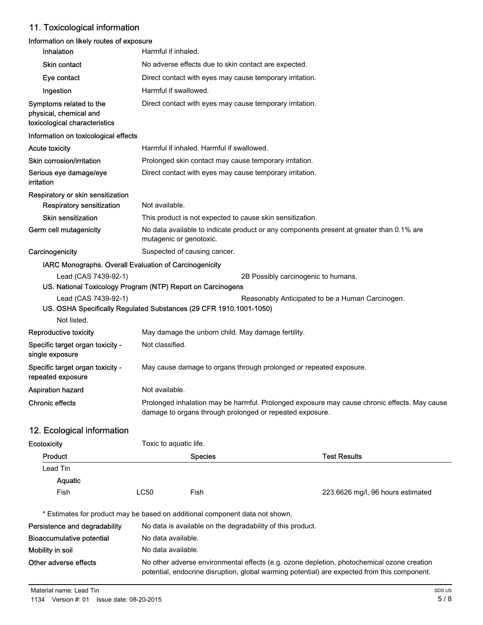## 11. Toxicological information

### Information on likely routes of exposure

| Inhalation                                                                                 |                                                                                                                                                          | Harmful if inhaled.                                                                                                 |                                                                    |  |
|--------------------------------------------------------------------------------------------|----------------------------------------------------------------------------------------------------------------------------------------------------------|---------------------------------------------------------------------------------------------------------------------|--------------------------------------------------------------------|--|
| <b>Skin contact</b>                                                                        |                                                                                                                                                          | No adverse effects due to skin contact are expected.                                                                |                                                                    |  |
| Eye contact                                                                                |                                                                                                                                                          | Direct contact with eyes may cause temporary irritation.                                                            |                                                                    |  |
| Ingestion                                                                                  |                                                                                                                                                          | Harmful if swallowed.                                                                                               |                                                                    |  |
| Symptoms related to the<br>physical, chemical and<br>toxicological characteristics         |                                                                                                                                                          | Direct contact with eyes may cause temporary irritation.                                                            |                                                                    |  |
| Information on toxicological effects                                                       |                                                                                                                                                          |                                                                                                                     |                                                                    |  |
| Acute toxicity                                                                             |                                                                                                                                                          | Harmful if inhaled. Harmful if swallowed.                                                                           |                                                                    |  |
| Skin corrosion/irritation                                                                  |                                                                                                                                                          | Prolonged skin contact may cause temporary irritation.                                                              |                                                                    |  |
| Serious eye damage/eye<br>irritation                                                       |                                                                                                                                                          | Direct contact with eyes may cause temporary irritation.                                                            |                                                                    |  |
| Respiratory or skin sensitization<br>Respiratory sensitization                             | Not available.                                                                                                                                           |                                                                                                                     |                                                                    |  |
| <b>Skin sensitization</b>                                                                  |                                                                                                                                                          | This product is not expected to cause skin sensitization.                                                           |                                                                    |  |
| Germ cell mutagenicity                                                                     |                                                                                                                                                          | No data available to indicate product or any components present at greater than 0.1% are<br>mutagenic or genotoxic. |                                                                    |  |
| Carcinogenicity                                                                            |                                                                                                                                                          | Suspected of causing cancer.                                                                                        |                                                                    |  |
| IARC Monographs. Overall Evaluation of Carcinogenicity                                     |                                                                                                                                                          |                                                                                                                     |                                                                    |  |
| Lead (CAS 7439-92-1)                                                                       |                                                                                                                                                          |                                                                                                                     | 2B Possibly carcinogenic to humans.                                |  |
| US. National Toxicology Program (NTP) Report on Carcinogens                                |                                                                                                                                                          |                                                                                                                     |                                                                    |  |
| Lead (CAS 7439-92-1)<br>US. OSHA Specifically Regulated Substances (29 CFR 1910.1001-1050) |                                                                                                                                                          |                                                                                                                     | Reasonably Anticipated to be a Human Carcinogen.                   |  |
| Not listed.                                                                                |                                                                                                                                                          |                                                                                                                     |                                                                    |  |
| Reproductive toxicity                                                                      |                                                                                                                                                          | May damage the unborn child. May damage fertility.                                                                  |                                                                    |  |
| Specific target organ toxicity -<br>single exposure                                        | Not classified.                                                                                                                                          |                                                                                                                     |                                                                    |  |
| Specific target organ toxicity -<br>repeated exposure                                      |                                                                                                                                                          |                                                                                                                     | May cause damage to organs through prolonged or repeated exposure. |  |
| <b>Aspiration hazard</b>                                                                   | Not available.                                                                                                                                           |                                                                                                                     |                                                                    |  |
| <b>Chronic effects</b>                                                                     | Prolonged inhalation may be harmful. Prolonged exposure may cause chronic effects. May cause<br>damage to organs through prolonged or repeated exposure. |                                                                                                                     |                                                                    |  |
| 12. Ecological information                                                                 |                                                                                                                                                          |                                                                                                                     |                                                                    |  |
| Ecotoxicity                                                                                |                                                                                                                                                          | Toxic to aquatic life.                                                                                              |                                                                    |  |
| Product                                                                                    |                                                                                                                                                          | <b>Species</b>                                                                                                      | <b>Test Results</b>                                                |  |
| Lead Tin                                                                                   |                                                                                                                                                          |                                                                                                                     |                                                                    |  |
| Aquatic                                                                                    |                                                                                                                                                          |                                                                                                                     |                                                                    |  |
| Fish                                                                                       | LC50                                                                                                                                                     | Fish                                                                                                                | 223.6626 mg/l, 96 hours estimated                                  |  |
| * Estimates for product may be based on additional component data not shown.               |                                                                                                                                                          |                                                                                                                     |                                                                    |  |
| Persistence and degradability                                                              |                                                                                                                                                          | No data is available on the degradability of this product.                                                          |                                                                    |  |
| <b>Bioaccumulative potential</b>                                                           | No data available.                                                                                                                                       |                                                                                                                     |                                                                    |  |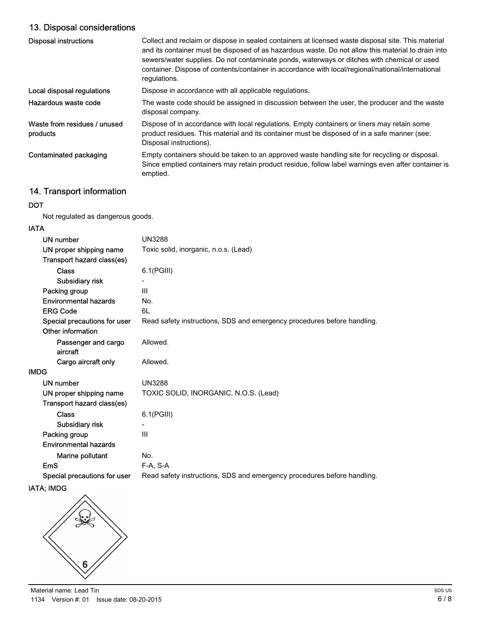## 13. Disposal considerations

| <b>Disposal instructions</b>             | Collect and reclaim or dispose in sealed containers at licensed waste disposal site. This material<br>and its container must be disposed of as hazardous waste. Do not allow this material to drain into<br>sewers/water supplies. Do not contaminate ponds, waterways or ditches with chemical or used<br>container. Dispose of contents/container in accordance with local/regional/national/international<br>regulations. |
|------------------------------------------|------------------------------------------------------------------------------------------------------------------------------------------------------------------------------------------------------------------------------------------------------------------------------------------------------------------------------------------------------------------------------------------------------------------------------|
| Local disposal regulations               | Dispose in accordance with all applicable regulations.                                                                                                                                                                                                                                                                                                                                                                       |
| Hazardous waste code                     | The waste code should be assigned in discussion between the user, the producer and the waste<br>disposal company.                                                                                                                                                                                                                                                                                                            |
| Waste from residues / unused<br>products | Dispose of in accordance with local regulations. Empty containers or liners may retain some<br>product residues. This material and its container must be disposed of in a safe manner (see:<br>Disposal instructions).                                                                                                                                                                                                       |
| Contaminated packaging                   | Empty containers should be taken to an approved waste handling site for recycling or disposal.<br>Since emptied containers may retain product residue, follow label warnings even after container is<br>emptied.                                                                                                                                                                                                             |

## 14. Transport information

### DOT

Not regulated as dangerous goods.

### IATA

| <b>UN3288</b>                                                           |
|-------------------------------------------------------------------------|
| Toxic solid, inorganic, n.o.s. (Lead)                                   |
|                                                                         |
| 6.1(PGIII)                                                              |
|                                                                         |
| Ш                                                                       |
| No.                                                                     |
| 6L                                                                      |
| Read safety instructions, SDS and emergency procedures before handling. |
|                                                                         |
| Allowed.                                                                |
| Allowed.                                                                |
|                                                                         |
| <b>UN3288</b>                                                           |
| TOXIC SOLID, INORGANIC, N.O.S. (Lead)                                   |
|                                                                         |
| $6.1$ (PGIII)                                                           |
|                                                                         |
| III                                                                     |
|                                                                         |
| No.                                                                     |
| F-A. S-A                                                                |
| Read safety instructions, SDS and emergency procedures before handling. |
|                                                                         |

### IATA; IMDG

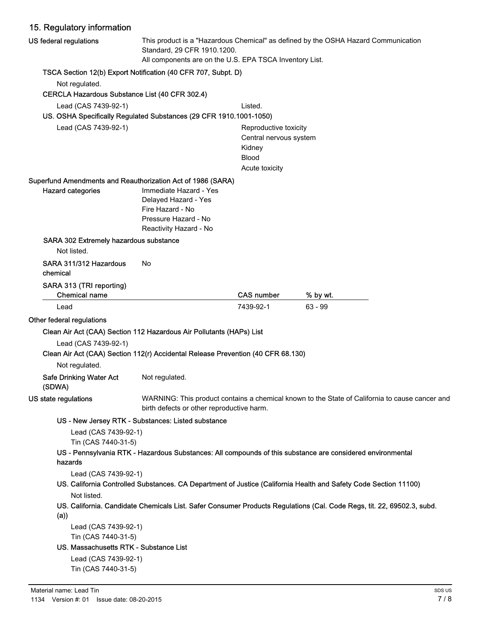| 15. Regulatory information                                                       |                                                                                                                                                                              |                                                                                             |                                                                                                                        |
|----------------------------------------------------------------------------------|------------------------------------------------------------------------------------------------------------------------------------------------------------------------------|---------------------------------------------------------------------------------------------|------------------------------------------------------------------------------------------------------------------------|
| US federal regulations                                                           | This product is a "Hazardous Chemical" as defined by the OSHA Hazard Communication<br>Standard, 29 CFR 1910.1200.<br>All components are on the U.S. EPA TSCA Inventory List. |                                                                                             |                                                                                                                        |
| TSCA Section 12(b) Export Notification (40 CFR 707, Subpt. D)                    |                                                                                                                                                                              |                                                                                             |                                                                                                                        |
| Not regulated.                                                                   |                                                                                                                                                                              |                                                                                             |                                                                                                                        |
| CERCLA Hazardous Substance List (40 CFR 302.4)                                   |                                                                                                                                                                              |                                                                                             |                                                                                                                        |
| Lead (CAS 7439-92-1)                                                             |                                                                                                                                                                              | Listed.                                                                                     |                                                                                                                        |
| US. OSHA Specifically Regulated Substances (29 CFR 1910.1001-1050)               |                                                                                                                                                                              |                                                                                             |                                                                                                                        |
| Lead (CAS 7439-92-1)                                                             |                                                                                                                                                                              | Reproductive toxicity<br>Central nervous system<br>Kidney<br><b>Blood</b><br>Acute toxicity |                                                                                                                        |
| Superfund Amendments and Reauthorization Act of 1986 (SARA)                      |                                                                                                                                                                              |                                                                                             |                                                                                                                        |
| <b>Hazard categories</b>                                                         | Immediate Hazard - Yes<br>Delayed Hazard - Yes<br>Fire Hazard - No<br>Pressure Hazard - No<br>Reactivity Hazard - No                                                         |                                                                                             |                                                                                                                        |
| SARA 302 Extremely hazardous substance<br>Not listed.                            |                                                                                                                                                                              |                                                                                             |                                                                                                                        |
| SARA 311/312 Hazardous<br>chemical                                               | No                                                                                                                                                                           |                                                                                             |                                                                                                                        |
| SARA 313 (TRI reporting)<br><b>Chemical name</b>                                 |                                                                                                                                                                              | <b>CAS number</b>                                                                           | % by wt.                                                                                                               |
| Lead                                                                             |                                                                                                                                                                              | 7439-92-1                                                                                   | $63 - 99$                                                                                                              |
| Other federal regulations                                                        |                                                                                                                                                                              |                                                                                             |                                                                                                                        |
| Clean Air Act (CAA) Section 112 Hazardous Air Pollutants (HAPs) List             |                                                                                                                                                                              |                                                                                             |                                                                                                                        |
| Lead (CAS 7439-92-1)                                                             |                                                                                                                                                                              |                                                                                             |                                                                                                                        |
| Clean Air Act (CAA) Section 112(r) Accidental Release Prevention (40 CFR 68.130) |                                                                                                                                                                              |                                                                                             |                                                                                                                        |
| Not regulated.                                                                   |                                                                                                                                                                              |                                                                                             |                                                                                                                        |
| <b>Safe Drinking Water Act</b><br>(SDWA)                                         | Not regulated.                                                                                                                                                               |                                                                                             |                                                                                                                        |
| US state regulations                                                             | birth defects or other reproductive harm.                                                                                                                                    |                                                                                             | WARNING: This product contains a chemical known to the State of California to cause cancer and                         |
|                                                                                  | US - New Jersey RTK - Substances: Listed substance                                                                                                                           |                                                                                             |                                                                                                                        |
| Lead (CAS 7439-92-1)<br>Tin (CAS 7440-31-5)<br>hazards                           |                                                                                                                                                                              |                                                                                             | US - Pennsylvania RTK - Hazardous Substances: All compounds of this substance are considered environmental             |
| Lead (CAS 7439-92-1)                                                             |                                                                                                                                                                              |                                                                                             | US. California Controlled Substances. CA Department of Justice (California Health and Safety Code Section 11100)       |
| Not listed.<br>(a))                                                              |                                                                                                                                                                              |                                                                                             | US. California. Candidate Chemicals List. Safer Consumer Products Regulations (Cal. Code Regs, tit. 22, 69502.3, subd. |
|                                                                                  |                                                                                                                                                                              |                                                                                             |                                                                                                                        |
| Lead (CAS 7439-92-1)                                                             |                                                                                                                                                                              |                                                                                             |                                                                                                                        |
| Tin (CAS 7440-31-5)<br>US. Massachusetts RTK - Substance List                    |                                                                                                                                                                              |                                                                                             |                                                                                                                        |